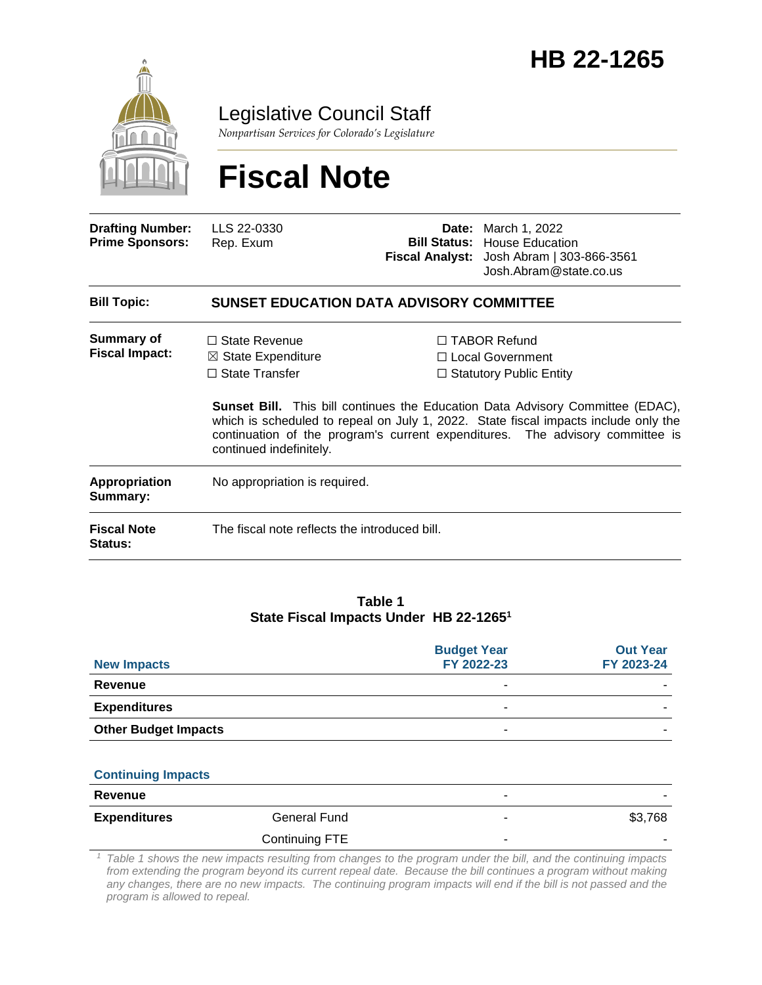

Legislative Council Staff

*Nonpartisan Services for Colorado's Legislature*

# **Fiscal Note**

| <b>Drafting Number:</b><br><b>Prime Sponsors:</b> | LLS 22-0330<br>Rep. Exum                                                                                  | <b>Bill Status:</b> | <b>Date:</b> March 1, 2022<br><b>House Education</b><br>Fiscal Analyst: Josh Abram   303-866-3561<br>Josh.Abram@state.co.us                                                                                                                                                                                                                  |
|---------------------------------------------------|-----------------------------------------------------------------------------------------------------------|---------------------|----------------------------------------------------------------------------------------------------------------------------------------------------------------------------------------------------------------------------------------------------------------------------------------------------------------------------------------------|
| <b>Bill Topic:</b>                                | <b>SUNSET EDUCATION DATA ADVISORY COMMITTEE</b>                                                           |                     |                                                                                                                                                                                                                                                                                                                                              |
| <b>Summary of</b><br><b>Fiscal Impact:</b>        | $\Box$ State Revenue<br>$\boxtimes$ State Expenditure<br>$\Box$ State Transfer<br>continued indefinitely. |                     | $\Box$ TABOR Refund<br>□ Local Government<br>$\Box$ Statutory Public Entity<br><b>Sunset Bill.</b> This bill continues the Education Data Advisory Committee (EDAC),<br>which is scheduled to repeal on July 1, 2022. State fiscal impacts include only the<br>continuation of the program's current expenditures. The advisory committee is |
| Appropriation<br>Summary:                         | No appropriation is required.                                                                             |                     |                                                                                                                                                                                                                                                                                                                                              |
| <b>Fiscal Note</b><br>Status:                     | The fiscal note reflects the introduced bill.                                                             |                     |                                                                                                                                                                                                                                                                                                                                              |

#### **Table 1 State Fiscal Impacts Under HB 22-1265<sup>1</sup>**

| <b>New Impacts</b>          |                | <b>Budget Year</b><br>FY 2022-23 | <b>Out Year</b><br>FY 2023-24 |
|-----------------------------|----------------|----------------------------------|-------------------------------|
| <b>Revenue</b>              |                | $\blacksquare$                   |                               |
| <b>Expenditures</b>         |                | $\blacksquare$                   |                               |
| <b>Other Budget Impacts</b> |                |                                  |                               |
|                             |                |                                  |                               |
| <b>Continuing Impacts</b>   |                |                                  |                               |
| <b>Revenue</b>              |                |                                  |                               |
| <b>Expenditures</b>         | General Fund   |                                  | \$3,768                       |
|                             | Continuing FTE |                                  |                               |

*<sup>1</sup> Table 1 shows the new impacts resulting from changes to the program under the bill, and the continuing impacts from extending the program beyond its current repeal date. Because the bill continues a program without making*  any changes, there are no new impacts. The continuing program impacts will end if the bill is not passed and the *program is allowed to repeal.*